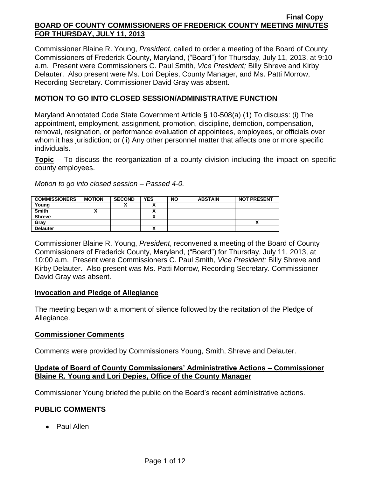Commissioner Blaine R. Young, *President*, called to order a meeting of the Board of County Commissioners of Frederick County, Maryland, ("Board") for Thursday, July 11, 2013, at 9:10 a.m. Present were Commissioners C. Paul Smith*, Vice President;* Billy Shreve and Kirby Delauter. Also present were Ms. Lori Depies, County Manager, and Ms. Patti Morrow, Recording Secretary. Commissioner David Gray was absent.

## **MOTION TO GO INTO CLOSED SESSION/ADMINISTRATIVE FUNCTION**

Maryland Annotated Code State Government Article § 10-508(a) (1) To discuss: (i) The appointment, employment, assignment, promotion, discipline, demotion, compensation, removal, resignation, or performance evaluation of appointees, employees, or officials over whom it has jurisdiction; or (ii) Any other personnel matter that affects one or more specific individuals.

**Topic** – To discuss the reorganization of a county division including the impact on specific county employees.

*Motion to go into closed session – Passed 4-0.*

| <b>COMMISSIONERS</b> | <b>MOTION</b> | <b>SECOND</b> | YES                      | <b>NO</b> | <b>ABSTAIN</b> | <b>NOT PRESENT</b> |
|----------------------|---------------|---------------|--------------------------|-----------|----------------|--------------------|
| Young                |               |               |                          |           |                |                    |
| <b>Smith</b>         |               |               | $\overline{\phantom{a}}$ |           |                |                    |
| <b>Shreve</b>        |               |               |                          |           |                |                    |
| Gray                 |               |               |                          |           |                |                    |
| <b>Delauter</b>      |               |               |                          |           |                |                    |

Commissioner Blaine R. Young, *President*, reconvened a meeting of the Board of County Commissioners of Frederick County, Maryland, ("Board") for Thursday, July 11, 2013, at 10:00 a.m. Present were Commissioners C. Paul Smith*, Vice President;* Billy Shreve and Kirby Delauter. Also present was Ms. Patti Morrow, Recording Secretary. Commissioner David Gray was absent.

## **Invocation and Pledge of Allegiance**

The meeting began with a moment of silence followed by the recitation of the Pledge of Allegiance.

## **Commissioner Comments**

Comments were provided by Commissioners Young, Smith, Shreve and Delauter.

## **Update of Board of County Commissioners' Administrative Actions – Commissioner Blaine R. Young and Lori Depies, Office of the County Manager**

Commissioner Young briefed the public on the Board's recent administrative actions.

## **PUBLIC COMMENTS**

Paul Allen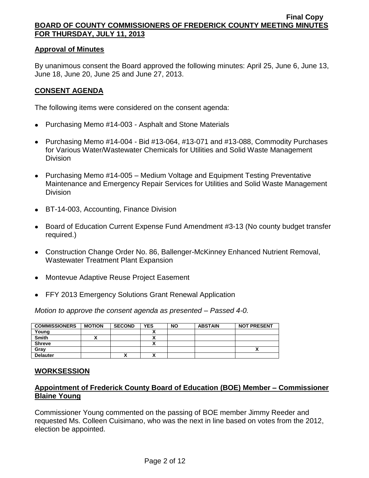### **Approval of Minutes**

By unanimous consent the Board approved the following minutes: April 25, June 6, June 13, June 18, June 20, June 25 and June 27, 2013.

## **CONSENT AGENDA**

The following items were considered on the consent agenda:

- Purchasing Memo #14-003 Asphalt and Stone Materials
- Purchasing Memo #14-004 Bid #13-064, #13-071 and #13-088, Commodity Purchases for Various Water/Wastewater Chemicals for Utilities and Solid Waste Management Division
- Purchasing Memo #14-005 Medium Voltage and Equipment Testing Preventative Maintenance and Emergency Repair Services for Utilities and Solid Waste Management Division
- BT-14-003, Accounting, Finance Division
- Board of Education Current Expense Fund Amendment #3-13 (No county budget transfer required.)
- Construction Change Order No. 86, Ballenger-McKinney Enhanced Nutrient Removal, Wastewater Treatment Plant Expansion
- Montevue Adaptive Reuse Project Easement
- FFY 2013 Emergency Solutions Grant Renewal Application

*Motion to approve the consent agenda as presented – Passed 4-0.*

| <b>COMMISSIONERS</b> | <b>MOTION</b> | <b>SECOND</b> | <b>YES</b> | <b>NO</b> | <b>ABSTAIN</b> | <b>NOT PRESENT</b> |
|----------------------|---------------|---------------|------------|-----------|----------------|--------------------|
| Young                |               |               |            |           |                |                    |
| <b>Smith</b>         |               |               |            |           |                |                    |
| <b>Shreve</b>        |               |               |            |           |                |                    |
| Grav                 |               |               |            |           |                | ,,                 |
| <b>Delauter</b>      |               | "             |            |           |                |                    |

## **WORKSESSION**

# **Appointment of Frederick County Board of Education (BOE) Member – Commissioner Blaine Young**

Commissioner Young commented on the passing of BOE member Jimmy Reeder and requested Ms. Colleen Cuisimano, who was the next in line based on votes from the 2012, election be appointed.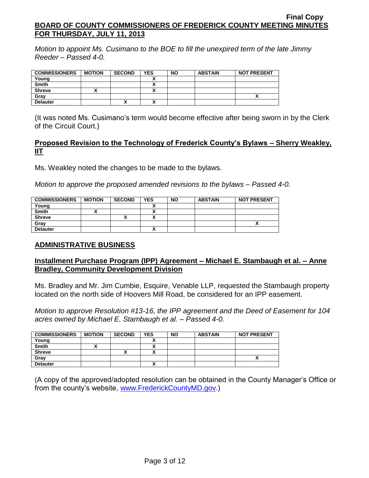*Motion to appoint Ms. Cusimano to the BOE to fill the unexpired term of the late Jimmy Reeder – Passed 4-0.*

| <b>COMMISSIONERS</b> | <b>MOTION</b> | <b>SECOND</b> | <b>YES</b> | <b>NO</b> | <b>ABSTAIN</b> | <b>NOT PRESENT</b> |
|----------------------|---------------|---------------|------------|-----------|----------------|--------------------|
| Young                |               |               |            |           |                |                    |
| <b>Smith</b>         |               |               |            |           |                |                    |
| <b>Shreve</b>        |               |               |            |           |                |                    |
| Gray                 |               |               |            |           |                |                    |
| <b>Delauter</b>      |               |               |            |           |                |                    |

(It was noted Ms. Cusimano's term would become effective after being sworn in by the Clerk of the Circuit Court.)

## **Proposed Revision to the Technology of Frederick County's Bylaws – Sherry Weakley, IIT**

Ms. Weakley noted the changes to be made to the bylaws.

*Motion to approve the proposed amended revisions to the bylaws – Passed 4-0.*

| <b>COMMISSIONERS</b> | <b>MOTION</b> | <b>SECOND</b> | <b>YES</b> | <b>NO</b> | <b>ABSTAIN</b> | <b>NOT PRESENT</b> |
|----------------------|---------------|---------------|------------|-----------|----------------|--------------------|
| Young                |               |               |            |           |                |                    |
| <b>Smith</b>         |               |               | ,,         |           |                |                    |
| <b>Shreve</b>        |               |               | Λ          |           |                |                    |
| Gray                 |               |               |            |           |                |                    |
| <b>Delauter</b>      |               |               | ٠.<br>^    |           |                |                    |

## **ADMINISTRATIVE BUSINESS**

# **Installment Purchase Program (IPP) Agreement – Michael E. Stambaugh et al. – Anne Bradley, Community Development Division**

Ms. Bradley and Mr. Jim Cumbie, Esquire, Venable LLP, requested the Stambaugh property located on the north side of Hoovers Mill Road, be considered for an IPP easement.

*Motion to approve Resolution #13-16, the IPP agreement and the Deed of Easement for 104 acres owned by Michael E. Stambaugh et al. – Passed 4-0.*

| <b>COMMISSIONERS</b> | <b>MOTION</b> | <b>SECOND</b> | <b>YES</b> | <b>NO</b> | <b>ABSTAIN</b> | <b>NOT PRESENT</b> |
|----------------------|---------------|---------------|------------|-----------|----------------|--------------------|
| Young                |               |               |            |           |                |                    |
| <b>Smith</b>         |               |               |            |           |                |                    |
| <b>Shreve</b>        |               | "             | ,,,        |           |                |                    |
| Grav                 |               |               |            |           |                |                    |
| <b>Delauter</b>      |               |               |            |           |                |                    |

(A copy of the approved/adopted resolution can be obtained in the County Manager's Office or from the county's website, [www.FrederickCountyMD.gov.](http://www.frederickcountymd.gov/))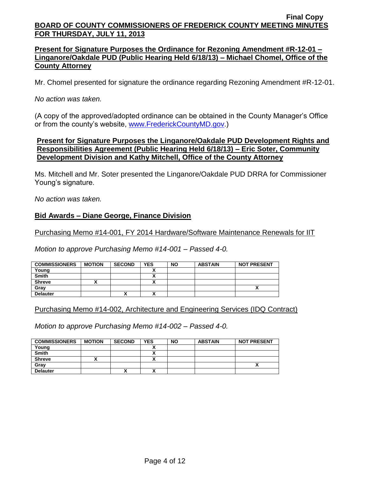## **Present for Signature Purposes the Ordinance for Rezoning Amendment #R-12-01 – Linganore/Oakdale PUD (Public Hearing Held 6/18/13) – Michael Chomel, Office of the County Attorney**

Mr. Chomel presented for signature the ordinance regarding Rezoning Amendment #R-12-01.

*No action was taken.*

(A copy of the approved/adopted ordinance can be obtained in the County Manager's Office or from the county's website, [www.FrederickCountyMD.gov.](http://www.frederickcountymd.gov/))

### **Present for Signature Purposes the Linganore/Oakdale PUD Development Rights and Responsibilities Agreement (Public Hearing Held 6/18/13) – Eric Soter, Community Development Division and Kathy Mitchell, Office of the County Attorney**

Ms. Mitchell and Mr. Soter presented the Linganore/Oakdale PUD DRRA for Commissioner Young's signature.

*No action was taken.*

## **Bid Awards – Diane George, Finance Division**

Purchasing Memo #14-001, FY 2014 Hardware/Software Maintenance Renewals for IIT

*Motion to approve Purchasing Memo #14-001 – Passed 4-0.*

| <b>COMMISSIONERS</b> | <b>MOTION</b> | <b>SECOND</b> | <b>YES</b>   | <b>NO</b> | <b>ABSTAIN</b> | <b>NOT PRESENT</b> |
|----------------------|---------------|---------------|--------------|-----------|----------------|--------------------|
| Young                |               |               |              |           |                |                    |
| <b>Smith</b>         |               |               | ~            |           |                |                    |
| <b>Shreve</b>        |               |               | $\mathbf{v}$ |           |                |                    |
| Grav                 |               |               |              |           |                | ~                  |
| <b>Delauter</b>      |               | "             | Λ            |           |                |                    |

Purchasing Memo #14-002, Architecture and Engineering Services (IDQ Contract)

*Motion to approve Purchasing Memo #14-002 – Passed 4-0.*

| <b>COMMISSIONERS</b> | <b>MOTION</b> | <b>SECOND</b> | <b>YES</b> | <b>NO</b> | <b>ABSTAIN</b> | <b>NOT PRESENT</b> |
|----------------------|---------------|---------------|------------|-----------|----------------|--------------------|
| Young                |               |               |            |           |                |                    |
| Smith                |               |               |            |           |                |                    |
| <b>Shreve</b>        |               |               |            |           |                |                    |
| Gray                 |               |               |            |           |                | ^                  |
| <b>Delauter</b>      |               | Δ             |            |           |                |                    |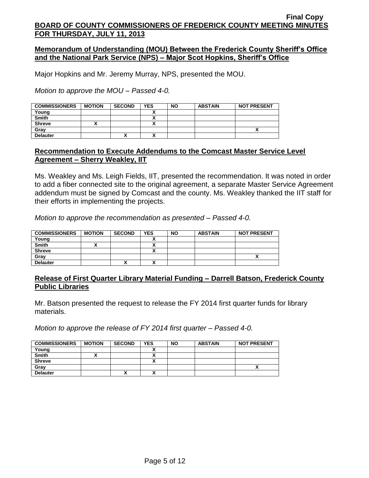### **Memorandum of Understanding (MOU) Between the Frederick County Sheriff's Office and the National Park Service (NPS) – Major Scot Hopkins, Sheriff's Office**

Major Hopkins and Mr. Jeremy Murray, NPS, presented the MOU.

*Motion to approve the MOU – Passed 4-0.*

| <b>COMMISSIONERS</b> | <b>MOTION</b> | <b>SECOND</b> | <b>YES</b> | <b>NO</b> | <b>ABSTAIN</b> | <b>NOT PRESENT</b> |
|----------------------|---------------|---------------|------------|-----------|----------------|--------------------|
| Young                |               |               |            |           |                |                    |
| <b>Smith</b>         |               |               |            |           |                |                    |
| <b>Shreve</b>        |               |               |            |           |                |                    |
| Grav                 |               |               |            |           |                |                    |
| <b>Delauter</b>      |               | ́             | ^          |           |                |                    |

### **Recommendation to Execute Addendums to the Comcast Master Service Level Agreement – Sherry Weakley, IIT**

Ms. Weakley and Ms. Leigh Fields, IIT, presented the recommendation. It was noted in order to add a fiber connected site to the original agreement, a separate Master Service Agreement addendum must be signed by Comcast and the county. Ms. Weakley thanked the IIT staff for their efforts in implementing the projects.

*Motion to approve the recommendation as presented – Passed 4-0.*

| <b>COMMISSIONERS</b> | <b>MOTION</b> | <b>SECOND</b> | <b>YES</b> | <b>NO</b> | <b>ABSTAIN</b> | <b>NOT PRESENT</b> |
|----------------------|---------------|---------------|------------|-----------|----------------|--------------------|
| Young                |               |               |            |           |                |                    |
| <b>Smith</b>         |               |               |            |           |                |                    |
| <b>Shreve</b>        |               |               |            |           |                |                    |
| Grav                 |               |               |            |           |                |                    |
| <b>Delauter</b>      |               | ^             |            |           |                |                    |

### **Release of First Quarter Library Material Funding – Darrell Batson, Frederick County Public Libraries**

Mr. Batson presented the request to release the FY 2014 first quarter funds for library materials.

*Motion to approve the release of FY 2014 first quarter – Passed 4-0.*

| <b>COMMISSIONERS</b> | <b>MOTION</b> | <b>SECOND</b> | <b>YES</b> | <b>NO</b> | <b>ABSTAIN</b> | <b>NOT PRESENT</b> |
|----------------------|---------------|---------------|------------|-----------|----------------|--------------------|
| Young                |               |               |            |           |                |                    |
| <b>Smith</b>         |               |               |            |           |                |                    |
| <b>Shreve</b>        |               |               |            |           |                |                    |
| Gray                 |               |               |            |           |                |                    |
| <b>Delauter</b>      |               | $\mathbf{v}$  |            |           |                |                    |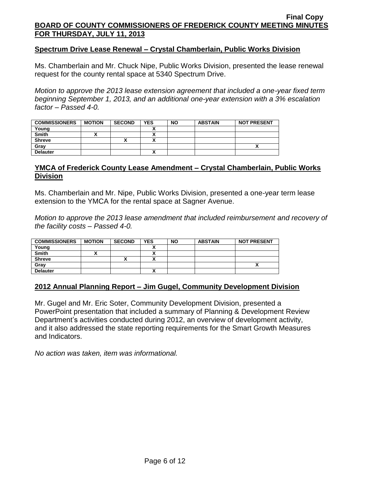### **Spectrum Drive Lease Renewal – Crystal Chamberlain, Public Works Division**

Ms. Chamberlain and Mr. Chuck Nipe, Public Works Division, presented the lease renewal request for the county rental space at 5340 Spectrum Drive.

*Motion to approve the 2013 lease extension agreement that included a one-year fixed term beginning September 1, 2013, and an additional one-year extension with a 3% escalation factor – Passed 4-0.*

| <b>COMMISSIONERS</b> | <b>MOTION</b> | <b>SECOND</b> | <b>YES</b>                | <b>NO</b> | <b>ABSTAIN</b> | <b>NOT PRESENT</b> |
|----------------------|---------------|---------------|---------------------------|-----------|----------------|--------------------|
| Young                |               |               |                           |           |                |                    |
| <b>Smith</b>         |               |               | Δ                         |           |                |                    |
| <b>Shreve</b>        |               |               | $\ddot{\phantom{a}}$<br>Δ |           |                |                    |
| Grav                 |               |               |                           |           |                |                    |
| <b>Delauter</b>      |               |               | ٠.<br>Λ                   |           |                |                    |

## **YMCA of Frederick County Lease Amendment – Crystal Chamberlain, Public Works Division**

Ms. Chamberlain and Mr. Nipe, Public Works Division, presented a one-year term lease extension to the YMCA for the rental space at Sagner Avenue.

*Motion to approve the 2013 lease amendment that included reimbursement and recovery of the facility costs – Passed 4-0.*

| <b>COMMISSIONERS</b> | <b>MOTION</b> | <b>SECOND</b> | <b>YES</b> | <b>NO</b> | <b>ABSTAIN</b> | <b>NOT PRESENT</b> |
|----------------------|---------------|---------------|------------|-----------|----------------|--------------------|
| Young                |               |               |            |           |                |                    |
| <b>Smith</b>         |               |               |            |           |                |                    |
| <b>Shreve</b>        |               |               |            |           |                |                    |
| Gray                 |               |               |            |           |                | ^                  |
| <b>Delauter</b>      |               |               |            |           |                |                    |

### **2012 Annual Planning Report – Jim Gugel, Community Development Division**

Mr. Gugel and Mr. Eric Soter, Community Development Division, presented a PowerPoint presentation that included a summary of Planning & Development Review Department's activities conducted during 2012, an overview of development activity, and it also addressed the state reporting requirements for the Smart Growth Measures and Indicators.

*No action was taken, item was informational.*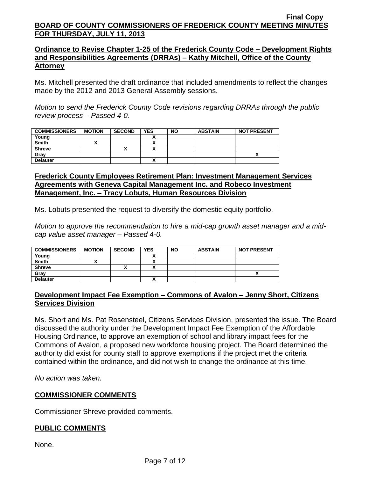## **Ordinance to Revise Chapter 1-25 of the Frederick County Code – Development Rights and Responsibilities Agreements (DRRAs) – Kathy Mitchell, Office of the County Attorney**

Ms. Mitchell presented the draft ordinance that included amendments to reflect the changes made by the 2012 and 2013 General Assembly sessions.

*Motion to send the Frederick County Code revisions regarding DRRAs through the public review process – Passed 4-0.*

| <b>COMMISSIONERS</b> | <b>MOTION</b> | <b>SECOND</b> | <b>YES</b>   | <b>NO</b> | <b>ABSTAIN</b> | <b>NOT PRESENT</b> |
|----------------------|---------------|---------------|--------------|-----------|----------------|--------------------|
| Young                |               |               |              |           |                |                    |
| <b>Smith</b>         |               |               | ~            |           |                |                    |
| <b>Shreve</b>        |               |               |              |           |                |                    |
| Grav                 |               |               |              |           |                |                    |
| <b>Delauter</b>      |               |               | $\mathbf{v}$ |           |                |                    |

## **Frederick County Employees Retirement Plan: Investment Management Services Agreements with Geneva Capital Management Inc. and Robeco Investment Management, Inc. – Tracy Lobuts, Human Resources Division**

Ms. Lobuts presented the request to diversify the domestic equity portfolio.

*Motion to approve the recommendation to hire a mid-cap growth asset manager and a midcap value asset manager – Passed 4-0.*

| <b>COMMISSIONERS</b> | <b>MOTION</b> | <b>SECOND</b> | <b>YES</b> | <b>NO</b> | <b>ABSTAIN</b> | <b>NOT PRESENT</b> |
|----------------------|---------------|---------------|------------|-----------|----------------|--------------------|
| Young                |               |               |            |           |                |                    |
| <b>Smith</b>         |               |               |            |           |                |                    |
| <b>Shreve</b>        |               |               | ~          |           |                |                    |
| Grav                 |               |               |            |           |                | ,,                 |
| <b>Delauter</b>      |               |               | ^          |           |                |                    |

# **Development Impact Fee Exemption – Commons of Avalon – Jenny Short, Citizens Services Division**

Ms. Short and Ms. Pat Rosensteel, Citizens Services Division, presented the issue. The Board discussed the authority under the Development Impact Fee Exemption of the Affordable Housing Ordinance, to approve an exemption of school and library impact fees for the Commons of Avalon, a proposed new workforce housing project. The Board determined the authority did exist for county staff to approve exemptions if the project met the criteria contained within the ordinance, and did not wish to change the ordinance at this time.

*No action was taken.*

## **COMMISSIONER COMMENTS**

Commissioner Shreve provided comments.

# **PUBLIC COMMENTS**

None.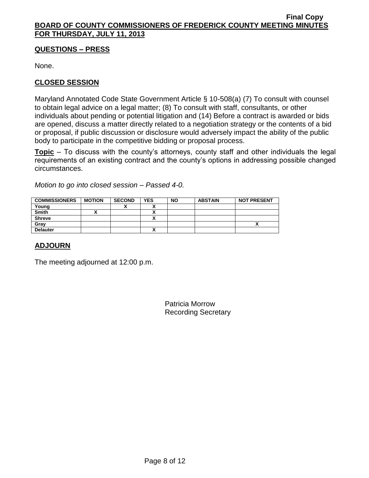## **QUESTIONS – PRESS**

None.

# **CLOSED SESSION**

Maryland Annotated Code State Government Article § 10-508(a) (7) To consult with counsel to obtain legal advice on a legal matter; (8) To consult with staff, consultants, or other individuals about pending or potential litigation and (14) Before a contract is awarded or bids are opened, discuss a matter directly related to a negotiation strategy or the contents of a bid or proposal, if public discussion or disclosure would adversely impact the ability of the public body to participate in the competitive bidding or proposal process.

**Topic** – To discuss with the county's attorneys, county staff and other individuals the legal requirements of an existing contract and the county's options in addressing possible changed circumstances.

*Motion to go into closed session – Passed 4-0.*

| <b>COMMISSIONERS</b> | <b>MOTION</b> | <b>SECOND</b> | <b>YES</b>               | <b>NO</b> | <b>ABSTAIN</b> | <b>NOT PRESENT</b> |
|----------------------|---------------|---------------|--------------------------|-----------|----------------|--------------------|
| Young                |               | "             |                          |           |                |                    |
| <b>Smith</b>         |               |               |                          |           |                |                    |
| <b>Shreve</b>        |               |               |                          |           |                |                    |
| Gray                 |               |               |                          |           |                | ~                  |
| <b>Delauter</b>      |               |               | $\overline{\phantom{a}}$ |           |                |                    |

# **ADJOURN**

The meeting adjourned at 12:00 p.m.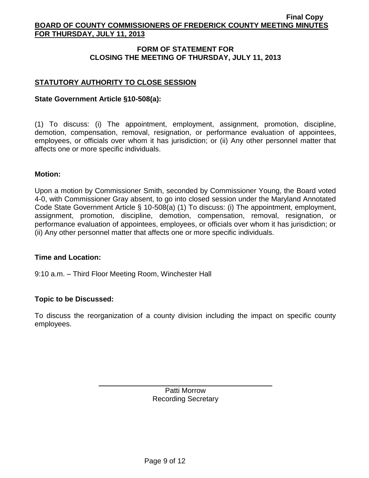## **FORM OF STATEMENT FOR CLOSING THE MEETING OF THURSDAY, JULY 11, 2013**

# **STATUTORY AUTHORITY TO CLOSE SESSION**

### **State Government Article §10-508(a):**

(1) To discuss: (i) The appointment, employment, assignment, promotion, discipline, demotion, compensation, removal, resignation, or performance evaluation of appointees, employees, or officials over whom it has jurisdiction; or (ii) Any other personnel matter that affects one or more specific individuals.

### **Motion:**

Upon a motion by Commissioner Smith, seconded by Commissioner Young, the Board voted 4-0, with Commissioner Gray absent, to go into closed session under the Maryland Annotated Code State Government Article § 10-508(a) (1) To discuss: (i) The appointment, employment, assignment, promotion, discipline, demotion, compensation, removal, resignation, or performance evaluation of appointees, employees, or officials over whom it has jurisdiction; or (ii) Any other personnel matter that affects one or more specific individuals.

### **Time and Location:**

9:10 a.m. – Third Floor Meeting Room, Winchester Hall

## **Topic to be Discussed:**

To discuss the reorganization of a county division including the impact on specific county employees.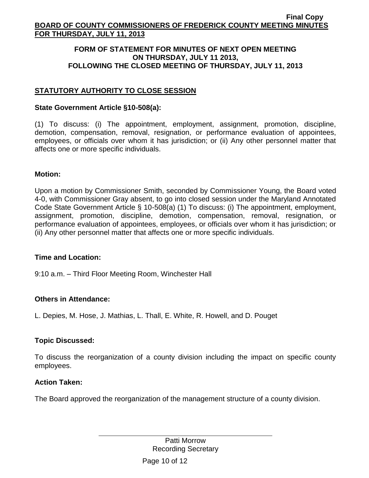### **FORM OF STATEMENT FOR MINUTES OF NEXT OPEN MEETING ON THURSDAY, JULY 11 2013, FOLLOWING THE CLOSED MEETING OF THURSDAY, JULY 11, 2013**

# **STATUTORY AUTHORITY TO CLOSE SESSION**

### **State Government Article §10-508(a):**

(1) To discuss: (i) The appointment, employment, assignment, promotion, discipline, demotion, compensation, removal, resignation, or performance evaluation of appointees, employees, or officials over whom it has jurisdiction; or (ii) Any other personnel matter that affects one or more specific individuals.

### **Motion:**

Upon a motion by Commissioner Smith, seconded by Commissioner Young, the Board voted 4-0, with Commissioner Gray absent, to go into closed session under the Maryland Annotated Code State Government Article § 10-508(a) (1) To discuss: (i) The appointment, employment, assignment, promotion, discipline, demotion, compensation, removal, resignation, or performance evaluation of appointees, employees, or officials over whom it has jurisdiction; or (ii) Any other personnel matter that affects one or more specific individuals.

### **Time and Location:**

9:10 a.m. – Third Floor Meeting Room, Winchester Hall

## **Others in Attendance:**

L. Depies, M. Hose, J. Mathias, L. Thall, E. White, R. Howell, and D. Pouget

## **Topic Discussed:**

To discuss the reorganization of a county division including the impact on specific county employees.

### **Action Taken:**

The Board approved the reorganization of the management structure of a county division.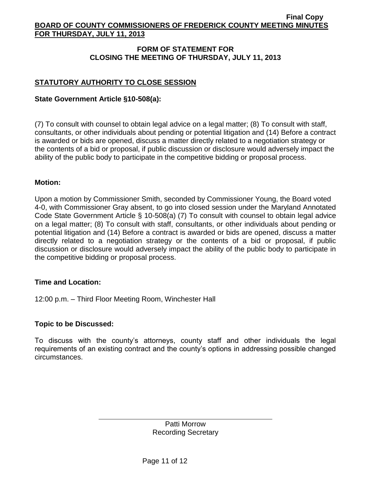## **FORM OF STATEMENT FOR CLOSING THE MEETING OF THURSDAY, JULY 11, 2013**

# **STATUTORY AUTHORITY TO CLOSE SESSION**

## **State Government Article §10-508(a):**

(7) To consult with counsel to obtain legal advice on a legal matter; (8) To consult with staff, consultants, or other individuals about pending or potential litigation and (14) Before a contract is awarded or bids are opened, discuss a matter directly related to a negotiation strategy or the contents of a bid or proposal, if public discussion or disclosure would adversely impact the ability of the public body to participate in the competitive bidding or proposal process.

### **Motion:**

Upon a motion by Commissioner Smith, seconded by Commissioner Young, the Board voted 4-0, with Commissioner Gray absent, to go into closed session under the Maryland Annotated Code State Government Article § 10-508(a) (7) To consult with counsel to obtain legal advice on a legal matter; (8) To consult with staff, consultants, or other individuals about pending or potential litigation and (14) Before a contract is awarded or bids are opened, discuss a matter directly related to a negotiation strategy or the contents of a bid or proposal, if public discussion or disclosure would adversely impact the ability of the public body to participate in the competitive bidding or proposal process.

## **Time and Location:**

12:00 p.m. – Third Floor Meeting Room, Winchester Hall

## **Topic to be Discussed:**

To discuss with the county's attorneys, county staff and other individuals the legal requirements of an existing contract and the county's options in addressing possible changed circumstances.